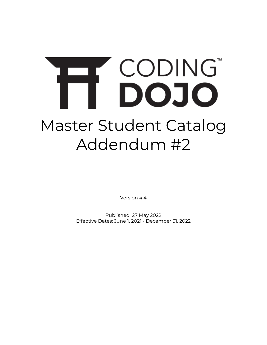# CODING® FF. Master Student Catalog Addendum #2

Version 4.4

Published 27 May 2022 Effective Dates: June 1, 2021 - December 31, 2022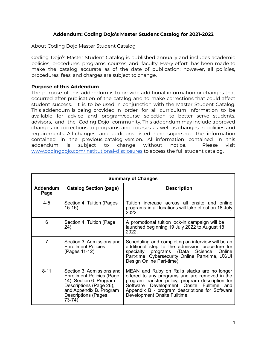## **Addendum: Coding Dojo's Master Student Catalog for 2021-2022**

About Coding Dojo Master Student Catalog

Coding Dojo's Master Student Catalog is published annually and includes academic policies, procedures, programs, courses, and faculty. Every effort has been made to make the catalog accurate as of the date of publication; however, all policies, procedures, fees, and charges are subject to change.

#### **Purpose of this Addendum**

The purpose of this addendum is to provide additional information or changes that occurred after publication of the catalog and to make corrections that could affect student success. It is to be used in conjunction with the Master Student Catalog. This addendum is being provided in order for all curriculum information to be available for advice and program/course selection to better serve students, advisors, and the Coding Dojo community. This addendum may include approved changes or corrections to programs and courses as well as changes in policies and requirements. All changes and additions listed here supersede the information contained in the previous catalog version. All information contained in this addendum is subject to change without notice. Please visit [www.codingdojo.com/institutional-disclosures](http://www.codingdojo.com/institutional-disclosures) to access the full student catalog.

|                         | <b>Summary of Changes</b>                                                                                                                                                               |                                                                                                                                                                                                                                                                                    |  |  |
|-------------------------|-----------------------------------------------------------------------------------------------------------------------------------------------------------------------------------------|------------------------------------------------------------------------------------------------------------------------------------------------------------------------------------------------------------------------------------------------------------------------------------|--|--|
| <b>Addendum</b><br>Page | <b>Catalog Section (page)</b>                                                                                                                                                           | <b>Description</b>                                                                                                                                                                                                                                                                 |  |  |
| $4 - 5$                 | Section 4. Tuition (Pages<br>$15-16$                                                                                                                                                    | Tuition increase across all onsite and online<br>programs in all locations will take effect on 18 July<br>2022.                                                                                                                                                                    |  |  |
| 6                       | Section 4. Tuition (Page)<br>24)                                                                                                                                                        | A promotional tuition lock-in campaign will be<br>launched beginning 19 July 2022 to August 18<br>2022.                                                                                                                                                                            |  |  |
| 7                       | Section 3. Admissions and<br><b>Enrollment Policies</b><br>(Pages 11-12)                                                                                                                | Scheduling and completing an interview will be an<br>additional step to the admission procedure for<br>specialty programs (Data Science<br>Online<br>Part-time, Cybersecurity Online Part-time, UX/UI<br>Design Online Part-time)                                                  |  |  |
| $8 - 11$                | Section 3. Admissions and<br><b>Enrollment Policies (Page)</b><br>14), Section 6. Program<br>Descriptions (Page 26),<br>and Appendix B. Program<br><b>Descriptions (Pages</b><br>73-74) | MEAN and Ruby on Rails stacks are no longer<br>offered to any programs and are removed in the<br>program transfer policy, program description for<br>Software Development Onsite Fulltime<br>and<br>Appendix B - program descriptions for Software<br>Development Onsite Fulltime. |  |  |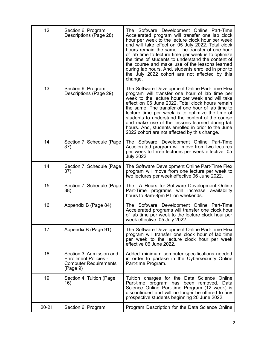| 12        | Section 6, Program<br>Descriptions (Page 28)                                                         | The Software Development Online Part-Time<br>Accelerated program will transfer one lab clock<br>hour per week to the lecture clock hour per week<br>and will take effect on 05 July 2022. Total clock<br>hours remain the same. The transfer of one hour<br>of lab time to lecture time per week is to optimize<br>the time of students to understand the content of<br>the course and make use of the lessons learned<br>during lab hours. And, students enrolled in prior to<br>the July 2022 cohort are not affected by this<br>change. |
|-----------|------------------------------------------------------------------------------------------------------|--------------------------------------------------------------------------------------------------------------------------------------------------------------------------------------------------------------------------------------------------------------------------------------------------------------------------------------------------------------------------------------------------------------------------------------------------------------------------------------------------------------------------------------------|
| 13        | Section 6, Program<br>Descriptions (Page 29)                                                         | The Software Development Online Part-Time Flex<br>program will transfer one hour of lab time per<br>week to the lecture hour per week and will take<br>effect on 06 June 2022. Total clock hours remain<br>the same. The transfer of one hour of lab time to<br>lecture time per week is to optimize the time of<br>students to understand the content of the course<br>and make use of the lessons learned during lab<br>hours. And, students enrolled in prior to the June<br>2022 cohort are not affected by this change.               |
| 14        | Section 7, Schedule (Page<br>37)                                                                     | The Software Development Online Part-Time<br>Accelerated program will move from two lectures<br>per week to three lectures per week effective 05<br><b>July 2022.</b>                                                                                                                                                                                                                                                                                                                                                                      |
| 14        | Section 7, Schedule (Page<br>37)                                                                     | The Software Development Online Part-Time Flex<br>program will move from one lecture per week to<br>two lectures per week effective 06 June 2022.                                                                                                                                                                                                                                                                                                                                                                                          |
| 15        | Section 7, Schedule (Page<br>38)                                                                     | The TA Hours for Software Development Online<br>Part-Time programs will increase<br>availability<br>hours to 8am-8pm PT on weekends.                                                                                                                                                                                                                                                                                                                                                                                                       |
| 16        | Appendix B (Page 84)                                                                                 | The Software Development Online Part-Time<br>Accelerated programs will transfer one clock hour<br>of lab time per week to the lecture clock hour per<br>week effective 05 July 2022.                                                                                                                                                                                                                                                                                                                                                       |
| 17        | Appendix B (Page 91)                                                                                 | The Software Development Online Part-Time Flex<br>program will transfer one clock hour of lab time<br>per week to the lecture clock hour per week<br>effective 06 June 2022.                                                                                                                                                                                                                                                                                                                                                               |
| 18        | Section 3. Admission and<br><b>Enrollment Policies -</b><br><b>Computer Requirements</b><br>(Page 9) | Added minimum computer specifications needed<br>in order to partake in the Cybersecurity Online<br>Part-time Program.                                                                                                                                                                                                                                                                                                                                                                                                                      |
| 19        | Section 4. Tuition (Page<br>16)                                                                      | Tuition charges for the Data Science Online<br>Part-time program has been removed. Data<br>Science Online Part-time Program (12 week) is<br>discontinued and will no longer be offered to any<br>prospective students beginning 20 June 2022.                                                                                                                                                                                                                                                                                              |
| $20 - 21$ | Section 6. Program                                                                                   | Program Description for the Data Science Online                                                                                                                                                                                                                                                                                                                                                                                                                                                                                            |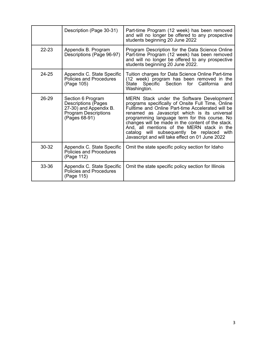|           | Description (Page 30-31)                                                                                           | Part-time Program (12 week) has been removed<br>and will no longer be offered to any prospective<br>students beginning 20 June 2022                                                                                                                                                                                                                                                                                                                      |
|-----------|--------------------------------------------------------------------------------------------------------------------|----------------------------------------------------------------------------------------------------------------------------------------------------------------------------------------------------------------------------------------------------------------------------------------------------------------------------------------------------------------------------------------------------------------------------------------------------------|
| $22 - 23$ | Appendix B. Program<br>Descriptions (Page 96-97)                                                                   | Program Description for the Data Science Online<br>Part-time Program (12 week) has been removed<br>and will no longer be offered to any prospective<br>students beginning 20 June 2022.                                                                                                                                                                                                                                                                  |
| $24 - 25$ | Appendix C. State Specific<br>Policies and Procedures<br>(Page 105)                                                | Tuition charges for Data Science Online Part-time<br>(12 week) program has been removed in the<br>for<br>California<br>Specific Section<br>State<br>and<br>Washington.                                                                                                                                                                                                                                                                                   |
| $26 - 29$ | Section 6 Program<br>Descriptions (Pages<br>27-30) and Appendix B.<br><b>Program Descriptions</b><br>(Pages 68-91) | MERN Stack under the Software Development<br>programs specifically of Onsite Full Time, Online<br>Fulltime and Online Part-time Accelerated will be<br>renamed as Javascript which is its universal<br>programming language term for this course. No<br>changes will be made in the content of the stack.<br>And, all mentions of the MERN stack in the<br>catalog will subsequently be replaced with<br>Javascript and will take effect on 01 June 2022 |
| $30 - 32$ | Appendix C. State Specific<br>Policies and Procedures<br>(Page 112)                                                | Omit the state specific policy section for Idaho                                                                                                                                                                                                                                                                                                                                                                                                         |
| 33-36     | Appendix C. State Specific<br>Policies and Procedures<br>(Page 115)                                                | Omit the state specific policy section for Illinois                                                                                                                                                                                                                                                                                                                                                                                                      |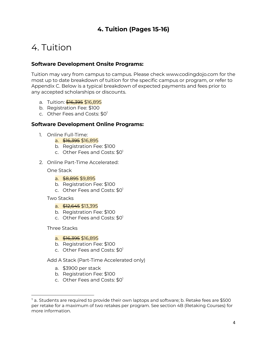# **4. Tuition (Pages 15-16)**

# 4. Tuition

## **Software Development Onsite Programs:**

Tuition may vary from campus to campus. Please check www.codingdojo.com for the most up to date breakdown of tuition for the specific campus or program, or refer to Appendix C. Below is a typical breakdown of expected payments and fees prior to any accepted scholarships or discounts.

- a. Tuition: <del>\$16.395</del> \$16.895
- b. Registration Fee: \$100
- c. Other Fees and Costs: \$0<sup>1</sup>

## **Software Development Online Programs:**

- 1. Online Full-Time:
	- a. \$16,395 \$16.895
	- b. Registration Fee: \$100
	- c. Other Fees and Costs: \$0<sup>1</sup>
- 2. Online Part-Time Accelerated:

#### One Stack

- a. <del>\$8,895</del> \$9,895
- b. Registration Fee: \$100
- c. Other Fees and Costs: \$0<sup>1</sup>

#### Two Stacks

- a. \$12,645 \$13,395
- b. Registration Fee: \$100
- c. Other Fees and Costs: \$0<sup>1</sup>

#### Three Stacks

- a. <del>\$16,395</del> \$16,895
- b. Registration Fee: \$100
- c. Other Fees and Costs: \$0<sup>1</sup>

Add A Stack (Part-Time Accelerated only)

- a. \$3900 per stack
- b. Registration Fee: \$100
- c. Other Fees and Costs: \$0<sup>1</sup>

<sup>1</sup> a. Students are required to provide their own laptops and software; b. Retake fees are \$500 per retake for a maximum of two retakes per program. See section 4B (Retaking Courses) for more information.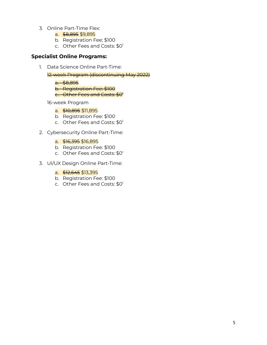- 3. Online Part-Time Flex:
	- a. \$8,895 \$9,895
	- b. Registration Fee: \$100
	- c. Other Fees and Costs: \$0<sup>1</sup>

## **Specialist Online Programs:**

1. Data Science Online Part-Time:

12-week Program (discontinuing May 2022)

a. \$8,895

b. Registration Fee: \$100

c<del>. Other Fees and Costs: \$0'</del>

16-week Program

- a. \$10,895 \$11,895
- b. Registration Fee: \$100
- c. Other Fees and Costs: \$0<sup>1</sup>
- 2. Cybersecurity Online Part-Time:
	- a. \$16,395 \$16,895
	- b. Registration Fee: \$100
	- c. Other Fees and Costs: \$0<sup>1</sup>
- 3. UI/UX Design Online Part-Time:
	- a. \$12,645 \$13,395
	- b. Registration Fee: \$100
	- c. Other Fees and Costs: \$0<sup>1</sup>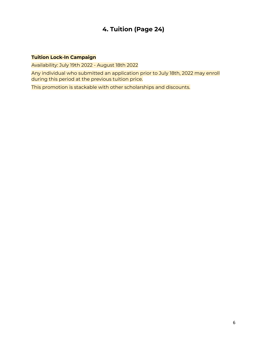# **4. Tuition (Page 24)**

## **Tuition Lock-In Campaign**

Availability: July 19th 2022 - August 18th 2022

Any individual who submitted an application prior to July 18th, 2022 may enroll during this period at the previous tuition price.

This promotion is stackable with other scholarships and discounts.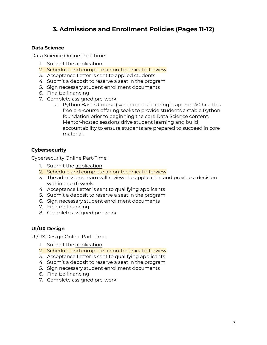# **3. Admissions and Enrollment Policies (Pages 11-12)**

## **Data Science**

Data Science Online Part-Time:

- 1. Submit the [application](https://www.codingdojo.com/apply)
- 2. Schedule and complete a non-technical interview
- 3. Acceptance Letter is sent to applied students
- 4. Submit a deposit to reserve a seat in the program
- 5. Sign necessary student enrollment documents
- 6. Finalize financing
- 7. Complete assigned pre-work
	- a. Python Basics Course (synchronous learning) approx. 40 hrs. This free pre-course offering seeks to provide students a stable Python foundation prior to beginning the core Data Science content. Mentor-hosted sessions drive student learning and build accountability to ensure students are prepared to succeed in core material.

## **Cybersecurity**

Cybersecurity Online Part-Time:

- 1. Submit the [application](https://www.codingdojo.com/apply)
- 2. Schedule and complete a non-technical interview
- 3. The admissions team will review the application and provide a decision within one (1) week
- 4. Acceptance Letter is sent to qualifying applicants
- 5. Submit a deposit to reserve a seat in the program
- 6. Sign necessary student enrollment documents
- 7. Finalize financing
- 8. Complete assigned pre-work

## **UI/UX Design**

UI/UX Design Online Part-Time:

- 1. Submit the [application](http://www.codingdojo.com/apply)
- 2. Schedule and complete a non-technical interview
- 3. Acceptance Letter is sent to qualifying applicants
- 4. Submit a deposit to reserve a seat in the program
- 5. Sign necessary student enrollment documents
- 6. Finalize financing
- 7. Complete assigned pre-work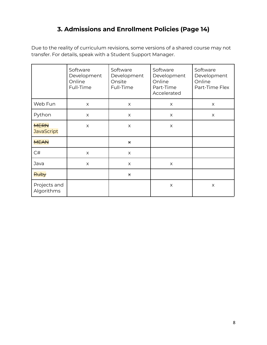# **3. Admissions and Enrollment Policies (Page 14)**

Due to the reality of curriculum revisions, some versions of a shared course may not transfer. For details, speak with a Student Support Manager.

|                                  | Software<br>Development<br>Online<br>Full-Time | Software<br>Development<br>Onsite<br>Full-Time | Software<br>Development<br>Online<br>Part-Time<br>Accelerated | Software<br>Development<br>Online<br>Part-Time Flex |
|----------------------------------|------------------------------------------------|------------------------------------------------|---------------------------------------------------------------|-----------------------------------------------------|
| Web Fun                          | X                                              | X                                              | $\times$                                                      | X                                                   |
| Python                           | X                                              | $\times$                                       | $\times$                                                      | $\times$                                            |
| <b>MERN</b><br><b>JavaScript</b> | X                                              | X                                              | $\times$                                                      |                                                     |
| <b>MEAN</b>                      |                                                | $\star$                                        |                                                               |                                                     |
| C#                               | $\times$                                       | $\times$                                       |                                                               |                                                     |
| Java                             | $\times$                                       | $\times$                                       | $\times$                                                      |                                                     |
| Ruby                             |                                                | $\star$                                        |                                                               |                                                     |
| Projects and<br>Algorithms       |                                                |                                                | $\times$                                                      | X                                                   |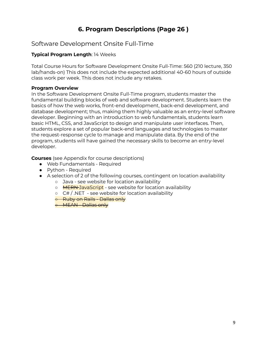# **6. Program Descriptions (Page 26 )**

# Software Development Onsite Full-Time

## **Typical Program Length**: 14 Weeks

Total Course Hours for Software Development Onsite Full-Time: 560 (210 lecture, 350 lab/hands-on) This does not include the expected additional 40-60 hours of outside class work per week. This does not include any retakes.

## **Program Overview**

In the Software Development Onsite Full-Time program, students master the fundamental building blocks of web and software development. Students learn the basics of how the web works, front-end development, back-end development, and database development; thus, making them highly valuable as an entry-level software developer. Beginning with an introduction to web fundamentals, students learn basic HTML, CSS, and JavaScript to design and manipulate user interfaces. Then, students explore a set of popular back-end languages and technologies to master the request-response cycle to manage and manipulate data. By the end of the program, students will have gained the necessary skills to become an entry-level developer.

**Courses** (see Appendix for course descriptions)

- Web Fundamentals Required
- Python Required
- A selection of 2 of the following courses, contingent on location availability
	- Java see website for location availability
	- **MERN-JavaScript** see website for location availability
	- $\circ$  C# / .NET see website for location availability
	- Ruby on Rails Dallas only

**• MEAN Dallas only**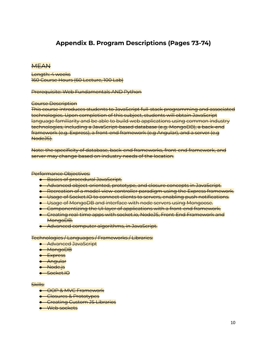# **Appendix B. Program Descriptions (Pages 73-74)**

## **MEAN**

Length: 4 weeks 160 Course Hours (60 Lecture, 100 Lab)

Prerequisite: Web Fundamentals AND Python

#### Course Description

This course introduces students to JavaScript full-stack programming and associated technologies. Upon completion of this subject, students will obtain JavaScript language familiarity and be able to build web applications using common industry technologies, including a JavaScript-based database (e.g. MongoDB), a back-end framework (e.g. Express), a front-end framework (e.g Angular), and a server (e.g NodeJS).

Note: the specificity of database, back-end frameworks, front-end framework, and server may change based on industry needs of the location.

#### Performance Objectives:

- Basics of procedural JavaScript.
- Advanced object-oriented, prototype, and closure concepts in JavaScript.
- Recreation of a model-view-controller paradigm using the Express framework.
- Usage of Socket.IO to connect clients to servers, enabling push notifications.
- Usage of MongoDB and interface with node servers using Mongoose.
- Componentizing the UI layer of applications with a front-end framework.
- Creating real-time apps with socket.io, NodeJS, Front-End Framework and MongoDB.
- Advanced computer algorithms, in JavaScript.

#### Technologies / Languages / Frameworks / Libraries:

- Advanced JavaScript
- MongoDB
- Express
- Angular
- Node.js
- Socket.IO

#### Skills:

- OOP & MVC Framework
- **•** Closures & Prototypes
- **•** Creating Custom JS Libraries
- Web sockets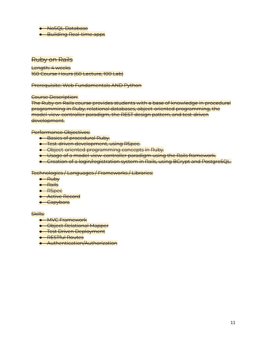● NoSQL Database

● Building Real-time apps

## Ruby on Rails

Length: 4 weeks 160 Course Hours (60 Lecture, 100 Lab)

Prerequisite: Web Fundamentals AND Python

Course Description:

The Ruby on Rails course provides students with a base of knowledge in procedural programming in Ruby, relational databases, object-oriented programming, the model-view-controller paradigm, the REST design pattern, and test-driven development.

Performance Objectives:

- Basics of procedural Ruby.
- Test-driven development, using RSpec.
- Object-oriented programming concepts in Ruby.
- Usage of a model-view-controller paradigm using the Rails framework.
- Creation of a login/registration system in Rails, using BCrypt and PostgreSQL.

Technologies / Languages / Frameworks / Libraries:

- Ruby
- Rails
- RSpec
- Active Record
- Capybara

#### Skills:

- MVC Framework
- Object Relational Mapper
- **•** Test Driven Deployment
- RESTful Routes
- Authentication/Authorization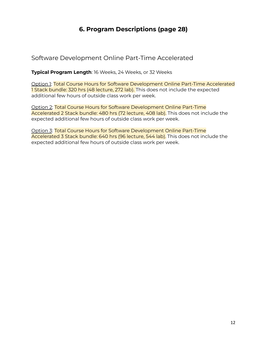# **6. Program Descriptions (page 28)**

Software Development Online Part-Time Accelerated

**Typical Program Length**: 16 Weeks, 24 Weeks, or 32 Weeks

Option 1: Total Course Hours for Software Development Online Part-Time Accelerated 1 Stack bundle: 320 hrs (48 lecture, 272 lab). This does not include the expected additional few hours of outside class work per week.

Option 2: Total Course Hours for Software Development Online Part-Time Accelerated 2 Stack bundle: 480 hrs (72 lecture, 408 lab). This does not include the expected additional few hours of outside class work per week.

Option 3: Total Course Hours for Software Development Online Part-Time Accelerated 3 Stack bundle: 640 hrs (96 lecture, 544 lab). This does not include the expected additional few hours of outside class work per week.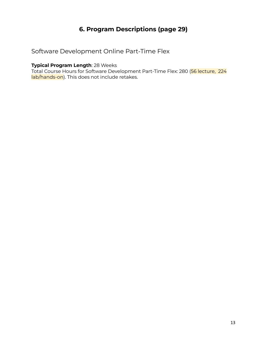# **6. Program Descriptions (page 29)**

# Software Development Online Part-Time Flex

## **Typical Program Length**: 28 Weeks

Total Course Hours for Software Development Part-Time Flex: 280 (56 lecture, 224 lab/hands-on). This does not include retakes.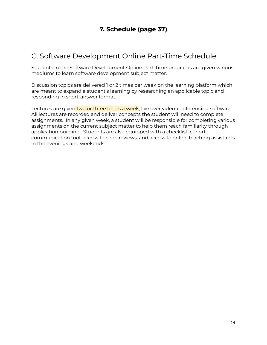# C. Software Development Online Part-Time Schedule

Students in the Software Development Online Part-Time programs are given various mediums to learn software development subject matter.

Discussion topics are delivered 1 or 2 times per week on the learning platform which are meant to expand a student's learning by researching an applicable topic and responding in short-answer format.

Lectures are given two or three times a week, live over video-conferencing software. All lectures are recorded and deliver concepts the student will need to complete assignments. In any given week, a student will be responsible for completing various assignments on the current subject matter to help them reach familiarity through application building. Students are also equipped with a checklist, cohort communication tool, access to code reviews, and access to online teaching assistants in the evenings and weekends.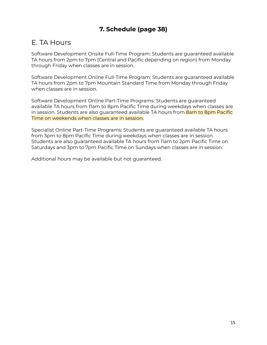# **7. Schedule (page 38)**

# E. TA Hours

Software Development Onsite Full-Time Program: Students are guaranteed available TA hours from 2pm to 7pm (Central and Pacific depending on region) from Monday through Friday when classes are in session.

Software Development Online Full-Time Program: Students are guaranteed available TA hours from 2pm to 7pm Mountain Standard Time from Monday through Friday when classes are in session.

Software Development Online Part-Time Programs: Students are guaranteed available TA hours from 11am to 8pm Pacific Time during weekdays when classes are in session. Students are also guaranteed available TA hours from **8am to 8pm Pacific** Time on weekends when classes are in session.

Specialist Online Part-Time Programs: Students are guaranteed available TA hours from 3pm to 8pm Pacific Time during weekdays when classes are in session. Students are also guaranteed available TA hours from 11am to 2pm Pacific Time on Saturdays and 3pm to 7pm Pacific Time on Sundays when classes are in session.

Additional hours may be available but not guaranteed.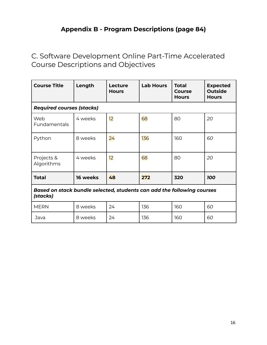# **Appendix B - Program Descriptions (page 84)**

C. Software Development Online Part-Time Accelerated Course Descriptions and Objectives

| <b>Course Title</b>                                                                | Length   | Lecture<br><b>Hours</b> | <b>Lab Hours</b> | <b>Total</b><br><b>Course</b><br><b>Hours</b> | <b>Expected</b><br><b>Outside</b><br><b>Hours</b> |
|------------------------------------------------------------------------------------|----------|-------------------------|------------------|-----------------------------------------------|---------------------------------------------------|
| <b>Required courses (stacks)</b>                                                   |          |                         |                  |                                               |                                                   |
| Web<br>Fundamentals                                                                | 4 weeks  | 12                      | 68               | 80                                            | 20                                                |
| Python                                                                             | 8 weeks  | 24                      | 136              | 160                                           | 60                                                |
| Projects &<br>Algorithms                                                           | 4 weeks  | 12                      | 68               | 80                                            | 20                                                |
| <b>Total</b>                                                                       | 16 weeks | 48                      | 272              | 320                                           | <b>100</b>                                        |
| Based on stack bundle selected, students can add the following courses<br>(stacks) |          |                         |                  |                                               |                                                   |
| <b>MERN</b>                                                                        | 8 weeks  | 24                      | 136              | 160                                           | 60                                                |
| Java                                                                               | 8 weeks  | 24                      | 136              | 160                                           | 60                                                |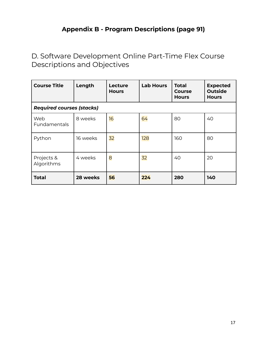# **Appendix B - Program Descriptions (page 91)**

D. Software Development Online Part-Time Flex Course Descriptions and Objectives

| <b>Course Title</b>              | Length   | Lecture<br><b>Hours</b> | <b>Lab Hours</b> | <b>Total</b><br>Course<br><b>Hours</b> | <b>Expected</b><br><b>Outside</b><br><b>Hours</b> |
|----------------------------------|----------|-------------------------|------------------|----------------------------------------|---------------------------------------------------|
| <b>Required courses (stacks)</b> |          |                         |                  |                                        |                                                   |
| Web<br>Fundamentals              | 8 weeks  | 16                      | 64               | 80                                     | 40                                                |
| Python                           | 16 weeks | 32                      | 128              | 160                                    | 80                                                |
| Projects &<br>Algorithms         | 4 weeks  | 8                       | 32               | 40                                     | 20                                                |
| <b>Total</b>                     | 28 weeks | 56                      | 224              | 280                                    | 140                                               |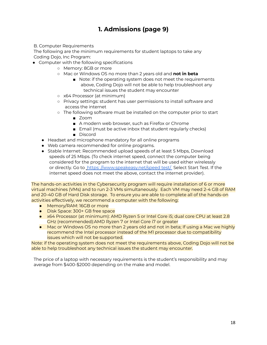# **1. Admissions (page 9)**

#### B. Computer Requirements

The following are the minimum requirements for student laptops to take any Coding Dojo, Inc Program:

- Computer with the following specifications
	- Memory: 8GB or more
	- Mac or Windows OS no more than 2 years old and **not in beta**
		- Note: if the operating system does not meet the requirements above, Coding Dojo will not be able to help troubleshoot any technical issues the student may encounter
	- x64 Processor (at minimum)
	- Privacy settings: student has user permissions to install software and access the internet
	- The following software must be installed on the computer prior to start
		- Zoom
		- A modern web browser, such as Firefox or Chrome
		- Email (must be active inbox that student regularly checks)
		- Discord
	- Headset and microphone mandatory for all online programs
	- Web camera recommended for online programs.
	- Stable Internet: Recommended upload speeds of at least 5 Mbps, Download speeds of 25 Mbps. (To check internet speed, connect the computer being considered for the program to the internet that will be used either wirelessly or directly. Go to https: [//www.speakeasy.net/speed](https://www.speakeasy.net/speedtest/) test/ Select Start Test. If the internet speed does not meet the above, contact the internet provider).

The hands-on activities in the Cybersecurity program will require installation of 6 or more virtual machines (VMs) and to run 2-3 VMs simultaneously. Each VM may need 2-4 GB of RAM and 20-40 GB of Hard Disk storage. To ensure you are able to complete all of the hands-on activities effectively, we recommend a computer with the following:

- Memory/RAM: 16GB or more
- Disk Space: 300+ GB free space
- x64 Processor (at minimum): AMD Ryzen 5 or Intel Core i5; dual core CPU at least 2.8 GHz (recommended):AMD Ryzen 7 or Intel Core i7 or greater
- Mac or Windows OS no more than 2 years old and not in beta; If using a Mac we highly recommend the Intel processor instead of the M1 processor due to compatibility issues which will not be supported.

Note: if the operating system does not meet the requirements above, Coding Dojo will not be able to help troubleshoot any technical issues the student may encounter.

The price of a laptop with necessary requirements is the student's responsibility and may average from \$400-\$2000 depending on the make and model.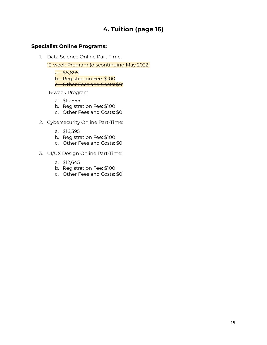# **4. Tuition (page 16)**

## **Specialist Online Programs:**

1. Data Science Online Part-Time:

12-week Program (discontinuing May 2022)

a. \$8,895 b. Registration Fee: \$100 c. Other Fees and Costs: \$0<sup>1</sup>

16-week Program

- a. \$10,895
- b. Registration Fee: \$100
- c. Other Fees and Costs: \$0<sup>1</sup>
- 2. Cybersecurity Online Part-Time:
	- a. \$16,395
	- b. Registration Fee: \$100
	- c. Other Fees and Costs: \$0<sup>1</sup>
- 3. UI/UX Design Online Part-Time:
	- a. \$12,645
	- b. Registration Fee: \$100
	- c. Other Fees and Costs: \$0<sup>1</sup>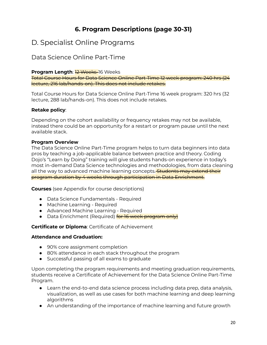# **6. Program Descriptions (page 30-31)**

# D. Specialist Online Programs

# Data Science Online Part-Time

## **Program Length: 2 Weeks-16 Weeks**

Total Course Hours for Data Science Online Part-Time 12 week program: 240 hrs (24 lecture, 216 lab/hands-on). This does not include retakes.

Total Course Hours for Data Science Online Part-Time 16 week program: 320 hrs (32 lecture, 288 lab/hands-on). This does not include retakes.

## **Retake policy**:

Depending on the cohort availability or frequency retakes may not be available, instead there could be an opportunity for a restart or program pause until the next available stack.

## **Program Overview**

The Data Science Online Part-Time program helps to turn data beginners into data pros by teaching a job-applicable balance between practice and theory. Coding Dojo's "Learn by Doing" training will give students hands-on experience in today's most in-demand Data Science technologies and methodologies, from data cleaning all the way to advanced machine learning concepts. Students may extend their program duration by 4 weeks through participation in Data Enrichment.

**Courses** (see Appendix for course descriptions)

- Data Science Fundamentals Required
- Machine Learning Required
- Advanced Machine Learning Required
- Data Enrichment (Required) **for 16 week program only**

## **Certificate or Diploma**: Certificate of Achievement

## **Attendance and Graduation:**

- 90% core assignment completion
- 80% attendance in each stack throughout the program
- Successful passing of all exams to graduate

Upon completing the program requirements and meeting graduation requirements, students receive a Certificate of Achievement for the Data Science Online Part-Time Program.

- Learn the end-to-end data science process including data prep, data analysis, visualization, as well as use cases for both machine learning and deep learning algorithms
- An understanding of the importance of machine learning and future growth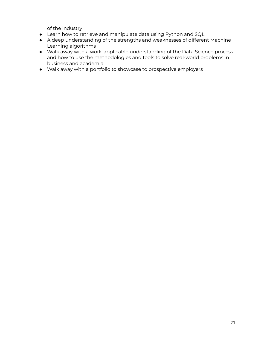of the industry

- Learn how to retrieve and manipulate data using Python and SQL
- A deep understanding of the strengths and weaknesses of different Machine Learning algorithms
- Walk away with a work-applicable understanding of the Data Science process and how to use the methodologies and tools to solve real-world problems in business and academia
- Walk away with a portfolio to showcase to prospective employers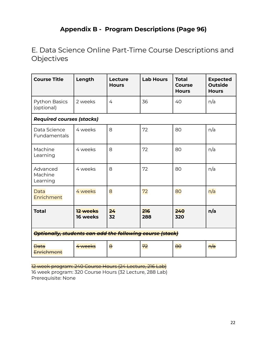# **Appendix B - Program Descriptions (Page 96)**

E. Data Science Online Part-Time Course Descriptions and **Objectives** 

| <b>Course Title</b>                                       | Length               | Lecture<br><b>Hours</b> | <b>Lab Hours</b> | <b>Total</b><br><b>Course</b><br><b>Hours</b> | <b>Expected</b><br><b>Outside</b><br><b>Hours</b> |
|-----------------------------------------------------------|----------------------|-------------------------|------------------|-----------------------------------------------|---------------------------------------------------|
| Python Basics<br>(optional)                               | 2 weeks              | 4                       | 36               | 40                                            | n/a                                               |
| <b>Required courses (stacks)</b>                          |                      |                         |                  |                                               |                                                   |
| Data Science<br>Fundamentals                              | 4 weeks              | 8                       | 72               | 80                                            | n/a                                               |
| Machine<br>Learning                                       | 4 weeks              | 8                       | 72               | 80                                            | n/a                                               |
| Advanced<br>Machine<br>Learning                           | 4 weeks              | 8                       | 72               | 80                                            | n/a                                               |
| Data<br>Enrichment                                        | 4 weeks              | 8                       | 72               | 80                                            | n/a                                               |
| <b>Total</b>                                              | 12 weeks<br>16 weeks | 24<br>32                | 216<br>288       | 240<br>320                                    | n/a                                               |
| Optionally, students can add the following course (stack) |                      |                         |                  |                                               |                                                   |
| <del>Data</del><br>Enrichment                             | 4 weeks              | $\overline{\mathbf{e}}$ | 72               | $\theta$                                      | <del>n/a</del>                                    |

12 week program: 240 Course Hours (24 Lecture, 216 Lab) 16 week program: 320 Course Hours (32 Lecture, 288 Lab) Prerequisite: None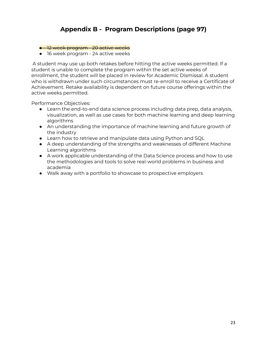# **Appendix B - Program Descriptions (page 97)**

#### **•** 12 week program 20 active weeks

● 16 week program - 24 active weeks

A student may use up both retakes before hitting the active weeks permitted. If a student is unable to complete the program within the set active weeks of enrollment, the student will be placed in review for Academic Dismissal. A student who is withdrawn under such circumstances must re-enroll to receive a Certificate of Achievement. Retake availability is dependent on future course offerings within the active weeks permitted.

Performance Objectives:

- Learn the end-to-end data science process including data prep, data analysis, visualization, as well as use cases for both machine learning and deep learning algorithms
- An understanding the importance of machine learning and future growth of the industry
- Learn how to retrieve and manipulate data using Python and SQL
- A deep understanding of the strengths and weaknesses of different Machine Learning algorithms
- A work applicable understanding of the Data Science process and how to use the methodologies and tools to solve real-world problems in business and academia
- Walk away with a portfolio to showcase to prospective employers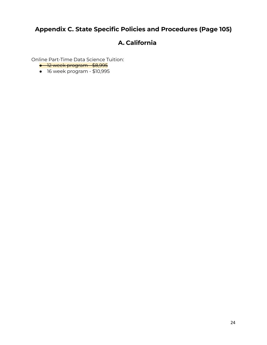# **Appendix C. State Specific Policies and Procedures (Page 105)**

# **A. California**

Online Part-Time Data Science Tuition:

- <del>12 week program \$8,995</del>
- 16 week program \$10,995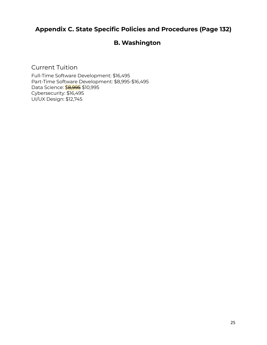# **Appendix C. State Specific Policies and Procedures (Page 132)**

# **B. Washington**

Current Tuition

Full-Time Software Development: \$16,495 Part-Time Software Development: \$8,995-\$16,495 Data Science: **\$8,995** \$10,995 Cybersecurity: \$16,495 UI/UX Design: \$12,745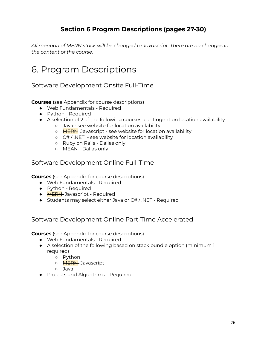# **Section 6 Program Descriptions (pages 27-30)**

*All mention of MERN stack will be changed to Javascript. There are no changes in the content of the course.*

# 6. Program Descriptions

Software Development Onsite Full-Time

**Courses** (see Appendix for course descriptions)

- Web Fundamentals Required
- Python Required
- A selection of 2 of the following courses, contingent on location availability
	- Java see website for location availability
	- o **MERN** Javascript see website for location availability
	- $\circ$  C# / .NET see website for location availability
	- Ruby on Rails Dallas only
	- MEAN Dallas only

# Software Development Online Full-Time

**Courses** (see Appendix for course descriptions)

- Web Fundamentals Required
- Python Required
- **MERN** Javascript Required
- Students may select either Java or C# / .NET Required

# Software Development Online Part-Time Accelerated

**Courses** (see Appendix for course descriptions)

- Web Fundamentals Required
- A selection of the following based on stack bundle option (minimum 1 required)
	- Python
	- **MERN** Javascript
	- Java
- Projects and Algorithms Required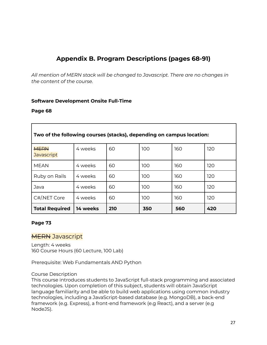# **Appendix B. Program Descriptions (pages 68-91)**

*All mention of MERN stack will be changed to Javascript. There are no changes in the content of the course.*

#### **Software Development Onsite Full-Time**

#### **Page 68**

| Two of the following courses (stacks), depending on campus location: |          |     |     |     |     |
|----------------------------------------------------------------------|----------|-----|-----|-----|-----|
| <b>MERN</b><br><b>Javascript</b>                                     | 4 weeks  | 60  | 100 | 160 | 120 |
| <b>MEAN</b>                                                          | 4 weeks  | 60  | 100 | 160 | 120 |
| Ruby on Rails                                                        | 4 weeks  | 60  | 100 | 160 | 120 |
| Java                                                                 | 4 weeks  | 60  | 100 | 160 | 120 |
| C#/NET Core                                                          | 4 weeks  | 60  | 100 | 160 | 120 |
| <b>Total Required</b>                                                | 14 weeks | 210 | 350 | 560 | 420 |

#### **Page 73**

## **MERN** Javascript

Length: 4 weeks 160 Course Hours (60 Lecture, 100 Lab)

Prerequisite: Web Fundamentals AND Python

#### Course Description

This course introduces students to JavaScript full-stack programming and associated technologies. Upon completion of this subject, students will obtain JavaScript language familiarity and be able to build web applications using common industry technologies, including a JavaScript-based database (e.g. MongoDB), a back-end framework (e.g. Express), a front-end framework (e.g React), and a server (e.g NodeJS).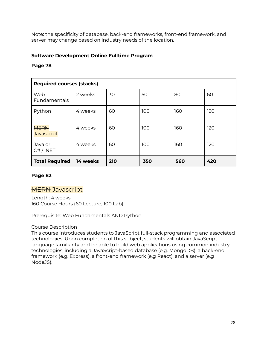Note: the specificity of database, back-end frameworks, front-end framework, and server may change based on industry needs of the location.

## **Software Development Online Fulltime Program**

## **Page 78**

| <b>Required courses (stacks)</b> |          |     |     |     |     |
|----------------------------------|----------|-----|-----|-----|-----|
| Web<br>Fundamentals              | 2 weeks  | 30  | 50  | 80  | 60  |
| Python                           | 4 weeks  | 60  | 100 | 160 | 120 |
| <b>MERN</b><br><b>Javascript</b> | 4 weeks  | 60  | 100 | 160 | 120 |
| Java or<br>C# / .NET             | 4 weeks  | 60  | 100 | 160 | 120 |
| <b>Total Required</b>            | 14 weeks | 210 | 350 | 560 | 420 |

## **Page 82**

# **MERN** Javascript

Length: 4 weeks 160 Course Hours (60 Lecture, 100 Lab)

Prerequisite: Web Fundamentals AND Python

## Course Description

This course introduces students to JavaScript full-stack programming and associated technologies. Upon completion of this subject, students will obtain JavaScript language familiarity and be able to build web applications using common industry technologies, including a JavaScript-based database (e.g. MongoDB), a back-end framework (e.g. Express), a front-end framework (e.g React), and a server (e.g NodeJS).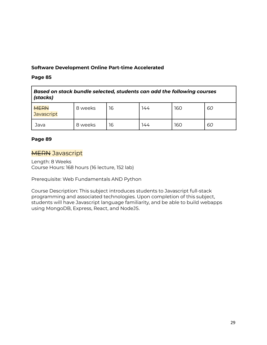## **Software Development Online Part-time Accelerated**

## **Page 85**

| Based on stack bundle selected, students can add the following courses<br>(stacks) |         |    |     |     |    |
|------------------------------------------------------------------------------------|---------|----|-----|-----|----|
| <b>MERN</b><br><b>Javascript</b>                                                   | 8 weeks | 16 | 144 | 160 | 60 |
| Java                                                                               | 8 weeks | 16 | 144 | 160 | 60 |

## **Page 89**

# **MERN** Javascript

Length: 8 Weeks Course Hours: 168 hours (16 lecture, 152 lab)

Prerequisite: Web Fundamentals AND Python

Course Description: This subject introduces students to Javascript full-stack programming and associated technologies. Upon completion of this subject, students will have Javascript language familiarity, and be able to build webapps using MongoDB, Express, React, and NodeJS.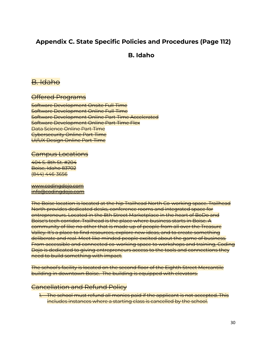# **Appendix C. State Specific Policies and Procedures (Page 112)**

# **B. Idaho**

# B. Idaho

Offered Programs

Software Development Onsite Full-Time Software Development Online Full-Time Software Development Online Part-Time Accelerated Software Development Online Part-Time Flex Data Science Online Part-Time Cybersecurity Online Part-Time UI/UX Design Online Part-Time

## Campus Locations

404 S. 8th St. #204 Boise, Idaho 83702 (844) 446-3656

[www.codingdojo.com](http://www.codingdojo.com) [info@codingdojo.com](mailto:info@codingdojo.com)

The Boise location is located at the hip Trailhead North Co-working space. Trailhead North provides dedicated desks, conference rooms and integrated space for entrepreneurs. Located in the 8th Street Marketplace in the heart of BoDo and Boise's tech corridor. Trailhead is the place where business starts in Boise. A community of like no other that is made up of people from all over the Treasure Valley. It's a place to find resources, explore new ideas, and to create something deliberate and real. Meet like minded people excited about the game of business. From accessible and connected co-working space to workshops and training, Coding Dojo is dedicated to giving entrepreneurs access to the tools and connections they need to build something with impact.

The school's facility is located on the second floor of the Eighth Street Mercantile building in downtown Boise. The building is equipped with elevators.

## Cancellation and Refund Policy

1. The school must refund all monies paid if the applicant is not accepted. This includes instances where a starting class is cancelled by the school.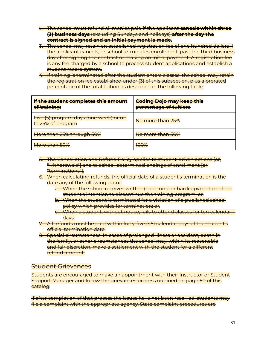- 2. The school must refund all monies paid if the applicant **cancels within three (3) business days** (excluding Sundays and holidays) **after the day the contract is signed and an initial payment is made.**
- 3. The school may retain an established registration fee of one hundred dollars if the applicant cancels, or school terminates enrollment, past the third business day after signing the contract or making an initial payment. A registration fee is any fee charged by a school to process student applications and establish a student record system.
- 4. If training is terminated after the student enters classes, the school may retain the registration fee established under (3) of this subsection, plus a prorated percentage of the total tuition as described in the following table:

| If the student completes this amount<br>of training:        | <b>Coding Dojo may keep this</b><br>percentage of tuition: |
|-------------------------------------------------------------|------------------------------------------------------------|
| Five (5) program days (one week) or up<br>to 25% of program | <del>No more than 25%</del>                                |
| More than 25% through 50%                                   | No more than 50%                                           |
| More than 50%                                               | 1000<br>1777 A                                             |

- 5. The Cancellation and Refund Policy applies to student-driven actions [or, "withdrawals"] and to school-determined endings of enrollment [or, "terminations"].
- 6. When calculating refunds, the official date of a student's termination is the date any of the following occur:
	- a. When the school receives written (electronic or hardcopy) notice of the student's intention to discontinue the training program; or,
	- b. When the student is terminated for a violation of a published school policy which provides for termination; or,
	- c. When a student, without notice, fails to attend classes for ten calendar days.
- 7. All refunds must be paid within forty-five (45) calendar days of the student's official termination date.
- 8. Special circumstances. In cases of prolonged illness or accident, death in the family, or other circumstances the school may, within its reasonable and fair discretion, make a settlement with the student for a different refund amount.

## Student Grievances

Students are encouraged to make an appointment with their Instructor or Student Support Manager and follow the grievances process outlined on [page](https://docs.google.com/document/d/1xUMeZlcCXyQGRMJwR5-w17dMP4ejD2qN4BqWF1dpfO0/edit#heading=h.p9u0ieaag2so) 60 of this catalog.

If after completion of that process the issues have not been resolved, students may file a complaint with the appropriate agency. State complaint procedures are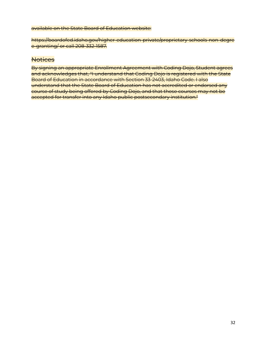#### available on the State Board of Education website:

https://boardofed.idaho.gov/higher-education-private/proprietary-schools-non-degre e-granting/ or call 208-332-1587.

## **Notices**

By signing an appropriate Enrollment Agreement with Coding Dojo, Student agrees and acknowledges that, "I understand that Coding Dojo is registered with the State Board of Education in accordance with Section 33-2403, Idaho Code. I also understand that the State Board of Education has not accredited or endorsed any course of study being offered by Coding Dojo, and that these courses may not be accepted for transfer into any Idaho public postsecondary institution."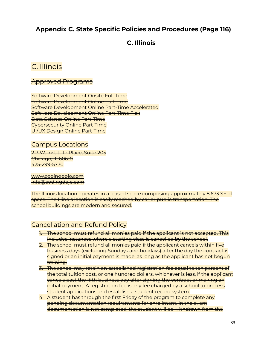# **Appendix C. State Specific Policies and Procedures (Page 116)**

# **C. Illinois**

# C. Illinois

## Approved Programs

Software Development Onsite Full-Time Software Development Online Full-Time Software Development Online Part-Time Accelerated Software Development Online Part-Time Flex Data Science Online Part-Time Cybersecurity Online Part-Time UI/UX Design Online Part-Time

## Campus Locations

213 W. Institute Place, Suite 205 Chicago, IL 60610 425-299-5770

[www.codingdojo.com](http://www.codingdojo.com) [info@codingdojo.com](mailto:info@codingdojo.com)

The Illinois location operates in a leased space comprising approximately 8,673 SF of space. The Illinois location is easily reached by car or public transportation. The school buildings are modern and secured.

# Cancellation and Refund Policy

- 1. The school must refund all monies paid if the applicant is not accepted. This includes instances where a starting class is cancelled by the school.
- 2. The school must refund all monies paid if the applicant cancels within five business days (excluding Sundays and holidays) after the day the contract is signed or an initial payment is made, as long as the applicant has not begun training.
- 3. The school may retain an established registration fee equal to ten percent of the total tuition cost, or one hundred dollars, whichever is less, if the applicant cancels past the fifth business day after signing the contract or making an initial payment. A registration fee is any fee charged by a school to process student applications and establish a student record system.
- 4. A student has through the first Friday of the program to complete any pending documentation requirements for enrollment. In the event documentation is not completed, the student will be withdrawn from the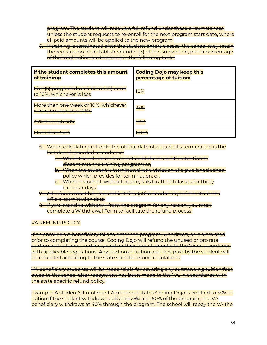program. The student will receive a full refund under these circumstances, unless the student requests to re-enroll for the next program start date, where all paid amounts will be applied to the new program.

5. If training is terminated after the student enters classes, the school may retain the registration fee established under (3) of this subsection, plus a percentage of the total tuition as described in the following table:

| If the student completes this amount<br>of training:                | <b>Coding Dojo may keep this</b><br>percentage of tuition: |
|---------------------------------------------------------------------|------------------------------------------------------------|
| Five (5) program days (one week) or up<br>to 10%, whichever is less | 10%                                                        |
| More than one week or 10%, whichever<br>is less, but less than 25%  | 25%                                                        |
| 25% through 50%                                                     | 50%                                                        |
| More than 50%                                                       | 100%                                                       |

- 6. When calculating refunds, the official date of a student's termination is the last day of recorded attendance:
	- a. When the school receives notice of the student's intention to discontinue the training program; or,
	- b. When the student is terminated for a violation of a published school policy which provides for termination; or,
	- c. When a student, without notice, fails to attend classes for thirty calendar days.
- 7. All refunds must be paid within thirty (30) calendar days of the student's official termination date.
- 8. If you intend to withdraw from the program for any reason, you must complete a Withdrawal Form to facilitate the refund process.

#### VA REFUND POLICY:

If an enrolled VA beneficiary fails to enter the program, withdraws, or is dismissed prior to completing the course, Coding Dojo will refund the unused or pro rata portion of the tuition and fees, paid on their behalf, directly to the VA in accordance with applicable regulations. Any portion of tuition and fees paid by the student will be refunded according to the state specific refund regulations.

VA beneficiary students will be responsible for covering any outstanding tuition/fees owed to the school after repayment has been made to the VA, in accordance with the state specific refund policy.

Example: A student's Enrollment Agreement states Coding Dojo is entitled to 50% of tuition if the student withdraws between 25% and 50% of the program. The VA beneficiary withdraws at 40% through the program. The school will repay the VA the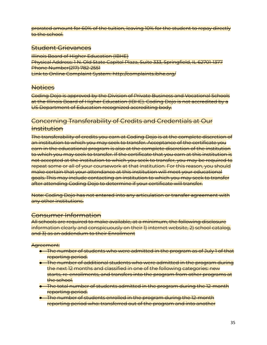prorated amount for 60% of the tuition, leaving 10% for the student to repay directly to the school.

## Student Grievances

**Illinois Board of Higher Education (IBHE)** Physical Address: 1 N. Old State Capitol Plaza, Suite 333, Springfield, IL 62701-1377 Phone Number(217) 782-2551 Link to Online Complaint System: http://complaints.ibhe.org/

## **Notices**

Coding Dojo is approved by the Division of Private Business and Vocational Schools at the Illinois Board of Higher Education (IBHE). Coding Dojo is not accredited by a US Department of Education recognized accrediting body.

## Concerning Transferability of Credits and Credentials at Our Institution

The transferability of credits you earn at Coding Dojo is at the complete discretion of an institution to which you may seek to transfer. Acceptance of the certificate you earn in the educational program is also at the complete discretion of the institution to which you may seek to transfer. If the certificate that you earn at this institution is not accepted at the institution to which you seek to transfer, you may be required to repeat some or all of your coursework at that institution. For this reason, you should make certain that your attendance at this institution will meet your educational goals. This may include contacting an institution to which you may seek to transfer after attending Coding Dojo to determine if your certificate will transfer.

Note: Coding Dojo has not entered into any articulation or transfer agreement with any other institutions.

## Consumer Information

All schools are required to make available, at a minimum, the following disclosure information clearly and conspicuously on their 1) internet website, 2) school catalog, and 3) as an addendum to their Enrollment

#### Agreement:

- The number of students who were admitted in the program as of July 1 of that reporting period.
- The number of additional students who were admitted in the program during the next 12 months and classified in one of the following categories: new starts, re-enrollments, and transfers into the program from other programs at the school.
- The total number of students admitted in the program during the 12-month reporting period.
- The number of students enrolled in the program during the 12-month reporting period who: transferred out of the program and into another